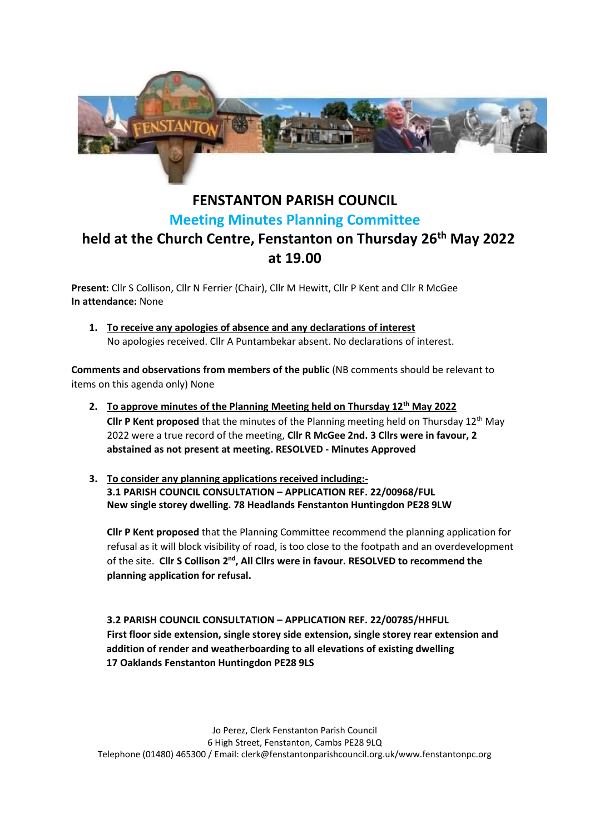

## **FENSTANTON PARISH COUNCIL Meeting Minutes Planning Committee held at the Church Centre, Fenstanton on Thursday 26th May 2022 at 19.00**

**Present:** Cllr S Collison, Cllr N Ferrier (Chair), Cllr M Hewitt, Cllr P Kent and Cllr R McGee **In attendance:** None

**1. To receive any apologies of absence and any declarations of interest** No apologies received. Cllr A Puntambekar absent. No declarations of interest.

**Comments and observations from members of the public** (NB comments should be relevant to items on this agenda only) None

- **2. To approve minutes of the Planning Meeting held on Thursday 12th May 2022 Cllr P Kent proposed** that the minutes of the Planning meeting held on Thursday 12th May 2022 were a true record of the meeting, **Cllr R McGee 2nd. 3 Cllrs were in favour, 2 abstained as not present at meeting. RESOLVED - Minutes Approved**
- **3. To consider any planning applications received including:- 3.1 PARISH COUNCIL CONSULTATION – APPLICATION REF. 22/00968/FUL New single storey dwelling. 78 Headlands Fenstanton Huntingdon PE28 9LW**

**Cllr P Kent proposed** that the Planning Committee recommend the planning application for refusal as it will block visibility of road, is too close to the footpath and an overdevelopment of the site. Cllr S Collison 2<sup>nd</sup>, All Cllrs were in favour. RESOLVED to recommend the **planning application for refusal.**

**3.2 PARISH COUNCIL CONSULTATION – APPLICATION REF. 22/00785/HHFUL First floor side extension, single storey side extension, single storey rear extension and addition of render and weatherboarding to all elevations of existing dwelling 17 Oaklands Fenstanton Huntingdon PE28 9LS**